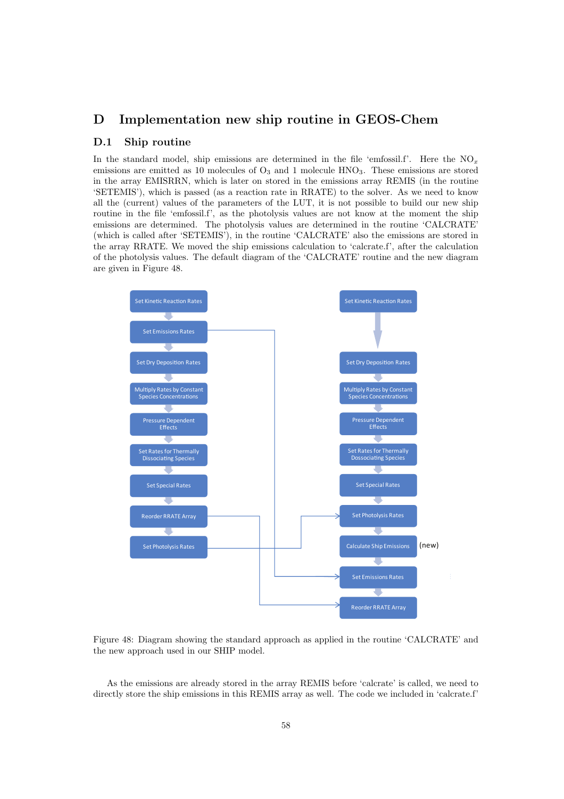## D Implementation new ship routine in GEOS-Chem

## D.1 Ship routine

In the standard model, ship emissions are determined in the file 'emfossil.f'. Here the  $NO<sub>x</sub>$ emissions are emitted as 10 molecules of  $O_3$  and 1 molecule HNO<sub>3</sub>. These emissions are stored in the array EMISRRN, which is later on stored in the emissions array REMIS (in the routine 'SETEMIS'), which is passed (as a reaction rate in RRATE) to the solver. As we need to know all the (current) values of the parameters of the LUT, it is not possible to build our new ship routine in the file 'emfossil.f', as the photolysis values are not know at the moment the ship emissions are determined. The photolysis values are determined in the routine 'CALCRATE' (which is called after 'SETEMIS'), in the routine 'CALCRATE' also the emissions are stored in the array RRATE. We moved the ship emissions calculation to 'calcrate.f', after the calculation of the photolysis values. The default diagram of the 'CALCRATE' routine and the new diagram are given in Figure 48.



Figure 48: Diagram showing the standard approach as applied in the routine 'CALCRATE' and the new approach used in our SHIP model.

As the emissions are already stored in the array REMIS before 'calcrate' is called, we need to directly store the ship emissions in this REMIS array as well. The code we included in 'calcrate.f'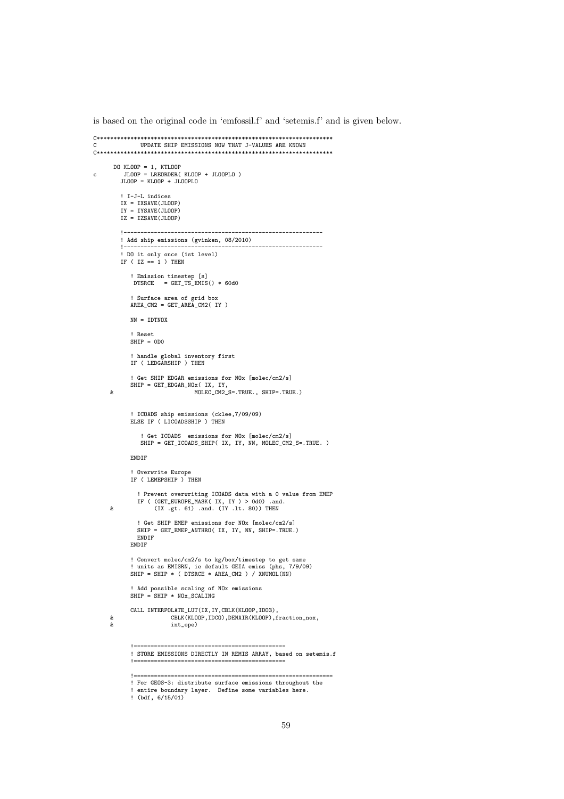is based on the original code in 'emfossil.f' and 'setemis.f' and is given below.

```
C**********************************************************************
                  C UPDATE SHIP EMISSIONS NOW THAT J-VALUES ARE KNOWN
C**********************************************************************
DO KLOOP = 1, KTLOOP
c JLOOP = LREORDER( KLOOP + JLOOPLO )
           JLOOP = KLOOP + JLOOPLO
           ! I-J-L indices
IX = IXSAVE(JLOOP)
IY = IYSAVE(JLOOP)
           IZ = IZSAVE(JLOOP)
           !-----------------------------------------------------------
           ! Add ship emissions (gvinken, 08/2010)
           !-----------------------------------------------------------
! DO it only once (1st level)
           IF ( IZ == 1 ) THEN
               ! Emission timestep [s]
DTSRCE = GET_TS_EMIS() * 60d0
               ! Surface area of grid box
              AREA_CM2 = GET_AREA_CM2( IY )
              NN = IDTNOX
              ! Reset
              SHIP = ODO! handle global inventory first
              IF ( LEDGARSHIP ) THEN
               ! Get SHIP EDGAR emissions for NOx [molec/cm2/s]
       SHIP = GET_EDGAR_NOx( IX, IY,
& MOLEC_CM2_S=.TRUE., SHIP=.TRUE.)
               ! ICOADS ship emissions (cklee,7/09/09)
ELSE IF ( LICOADSSHIP ) THEN
                   ! Get ICOADS emissions for NOx [molec/cm2/s]
SHIP = GET_ICOADS_SHIP( IX, IY, NN, MOLEC_CM2_S=.TRUE. )
              ENDIF
               ! Overwrite Europe
IF ( LEMEPSHIP ) THEN
       ! Prevent overwriting ICOADS data with a 0 value from EMEP
IF ( (GET_EUROPE_MASK( IX, IY ) > 0d0) .and.
& (IX .gt. 61) .and. (IY .lt. 80)) THEN
                  ! Get SHIP EMEP emissions for NOx [molec/cm2/s]
SHIP = GET_EMEP_ANTHRO( IX, IY, NN, SHIP=.TRUE.)
                ENDIF
              ENDIF
               ! Convert molec/cm2/s to kg/box/timestep to get same
              ! units as EMISRN, ie default GEIA emiss (phs, 7/9/09)
              SHIP = SHIP * ( DTSRCE * AREA_CM2 ) / XNUMOL(NN)
               ! Add possible scaling of NOx emissions
              SHP = SHIP * NOx SCALINGCALL INTERPOLATE_LUT(IX,IY,CBLK(KLOOP,IDO3),
      & CBLK(KLOOP,IDCO),DENAIR(KLOOP),fraction_nox,<br>
& int one)
                              \mathtt{int\_ope})!=============================================
! STORE EMISSIONS DIRECTLY IN REMIS ARRAY, based on setemis.f
               !=============================================
               !===========================================================
! For GEOS-3: distribute surface emissions throughout the
! entire boundary layer. Define some variables here.
               ! (bdf, 6/15/01)
```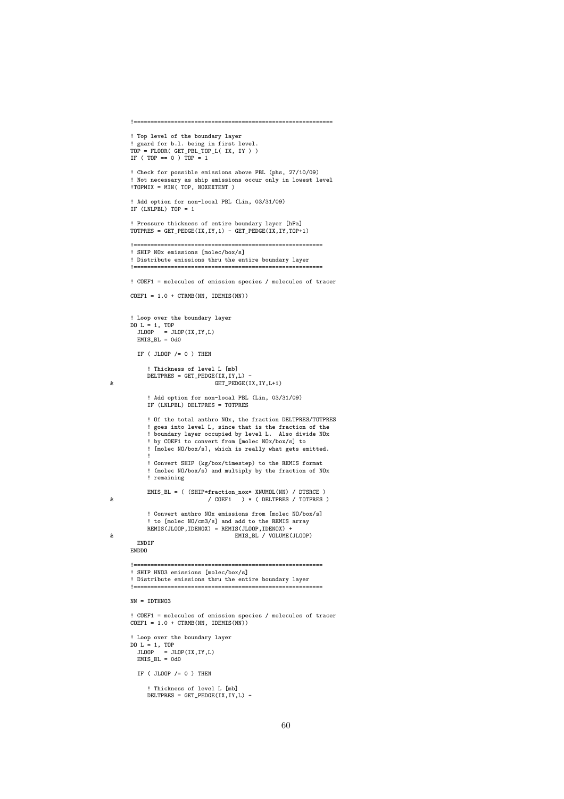```
!===========================================================
       ! Top level of the boundary layer
        ! guard for b.l. being in first level.
TOP = FLOOR( GET_PBL_TOP_L( IX, IY ) )
       IF ( TOP == 0 ) TOP = 1! Check for possible emissions above PBL (phs, 27/10/09)
        ! Not necessary as ship emissions occur only in lowest level
!TOPMIX = MIN( TOP, NOXEXTENT )
       ! Add option for non-local PBL (Lin, 03/31/09)
       IF (LNLPBL) TOP = 1
        ! Pressure thickness of entire boundary layer [hPa]
       TOTPRES = GET\_PEDGE(IX, IY, 1) - GET\_PEDGE(IX, IY, TOP+1)!========================================================
        ! SHIP NOx emissions [molec/box/s]
        ! Distribute emissions thru the entire boundary layer
                !========================================================
       ! COEF1 = molecules of emission species / molecules of tracer
       COEF1 = 1.0 + CTRMB(NN, IDEMIS(NN))! Loop over the boundary layer
DO L = 1, TOP
JLOOP = JLOP(IX,IY,L)
EMIS_BL = 0d0
          IF ( JLOOP /= 0 ) THEN
              ! Thickness of level L [mb]
             DELTPRES = GET_PEDGE(IX,IY,L) -
& GET_PEDGE(IX,IY,L+1)
              ! Add option for non-local PBL (Lin, 03/31/09)
              IF (LNLPBL) DELTPRES = TOTPRES
              ! Of the total anthro NOx, the fraction DELTPRES/TOTPRES
              ! goes into level L, since that is the fraction of the
! boundary layer occupied by level L. Also divide NOx
              ! by COEF1 to convert from [molec NOx/box/s] to
              ! [molec NO/box/s], which is really what gets emitted.
              !
! Convert SHIP (kg/box/timestep) to the REMIS format
              ! (molec NO/box/s) and multiply by the fraction of NOx
              ! remaining
EMIS_BL = ( (SHIP*fraction_nox* XNUMOL(NN) / DTSRCE )
& / COEF1 ) * ( DELTPRES / TOTPRES )
              ! Convert anthro NOx emissions from [molec NO/box/s]
! to [molec NO/cm3/s] and add to the REMIS array
REMIS(JLOOP,IDENOX) = REMIS(JLOOP,IDENOX) +
& EMIS_BL / VOLUME(JLOOP)
          ENDIF
       ENDDO
                    !========================================================
        ! SHIP HNO3 emissions [molec/box/s]
        ! Distribute emissions thru the entire boundary layer
        !========================================================
       NN = TDTHNO3! COEF1 = molecules of emission species / molecules of tracer
       COEF1 = 1.0 + CTRMB(NN, IDEMIS(NN))! Loop over the boundary layer
DO L = 1, TOP
JLOOP = JLOP(IX,IY,L)
EMIS_BL = 0d0
          IF ( JLOOP /= 0 ) THEN
             ! Thickness of level L [mb]
             DELTPRES = GET_PEDGE(IX, IY, L) -
```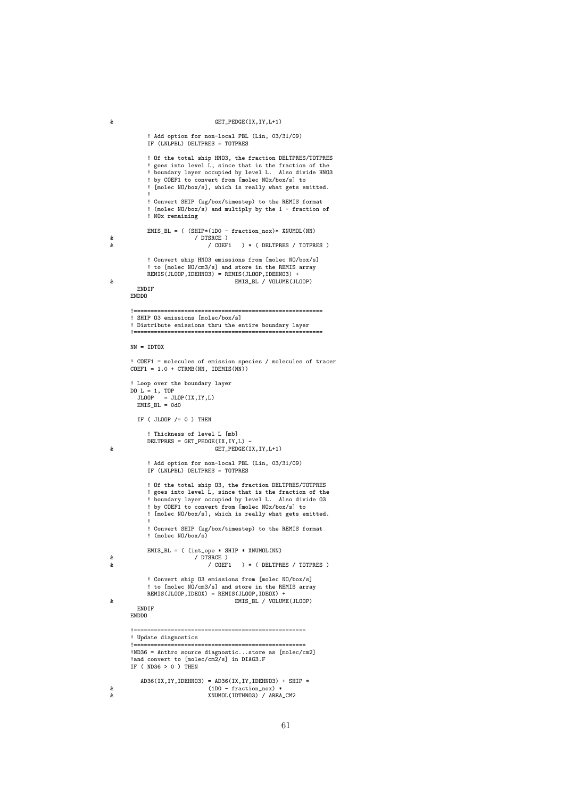## & GET\_PEDGE(IX,IY,L+1)

```
! Add option for non-local PBL (Lin, 03/31/09)
            IF (LNLPBL) DELTPRES = TOTPRES
            ! Of the total ship HNO3, the fraction DELTPRES/TOTPRES
              goes into level L, since that is the fraction of the
              boundary layer occupied by level L. Also divide HNO3
              by COEF1 to convert from [molec NOx/box/s] to
             ! [molec NO/box/s], which is really what gets emitted.
             !
! Convert SHIP (kg/box/timestep) to the REMIS format
            ! (molec NO/box/s) and multiply by the 1 - fraction of
             ! NOx remaining
EMIS_BL = ( (SHIP*(1D0 - fraction_nox)* XNUMOL(NN)<br>& / DTSRCE )
& / COEF1 ) * ( DELTPRES / TOTPRES )
            ! Convert ship HNO3 emissions from [molec NO/box/s]
            ! to [molec NO/cm3/s] and store in the REMIS array
            REMIS(JLOOP, IDEHNO3) = REMIS(JLOOP, IDEHNO3) +
& EMIS_BL / VOLUME(JLOOP)
        ENDIF
      ENDDO
                                                !========================================================
       ! SHIP O3 emissions [molec/box/s]
        Distribute emissions thru the entire boundary layer
       !========================================================
      NN = IDTOX
       ! COEF1 = molecules of emission species / molecules of tracer
COEF1 = 1.0 + CTRMB(NN, IDEMIS(NN))
        Loop over the boundary layer
       DO L = 1, TOP
JLOOP = JLOP(IX,IY,L)
EMIS_BL = 0d0
        IF ( JLOOP /= 0 ) THEN
             ! Thickness of level L [mb]
            DELTPRES = GET_PEDGE(IX, IY, L) -& GET_PEDGE(IX,IY,L+1)
            ! Add option for non-local PBL (Lin, 03/31/09)
            IF (LNLPBL) DELTPRES = TOTPRES
             ! Of the total ship O3, the fraction DELTPRES/TOTPRES
              goes into level L, since that is the fraction of the
             ! boundary layer occupied by level L. Also divide O3
! by COEF1 to convert from [molec NOx/box/s] to
             ! [molec NO/box/s], which is really what gets emitted.
             !
             ! Convert SHIP (kg/box/timestep) to the REMIS format
            ! (molec NO/box/s)
            EMIS<sub>-BL</sub> = ( (int<sub>-</sub>ope * SHIP * XNUMOL(NN)
\begin{array}{c|c}\n\hline\n\text{R} & \text{P} \\
\hline\n\text{R} & \text{P} \\
\hline\n\end{array}) * ( DELTPRES / TOTPRES )
             ! Convert ship O3 emissions from [molec NO/box/s]
! to [molec NO/cm3/s] and store in the REMIS array
            REMIS(JLOOP,IDEOX) = REMIS(JLOOP,IDEOX) +
& EMIS_BL / VOLUME(JLOOP)
        ENDIF
      ENDDO
       !===================================================
       ! Update diagnostics
       !===================================================
!ND36 = Anthro source diagnostic...store as [molec/cm2]
       !and convert to [molec/cm2/s] in DIAG3.F
IF ( ND36 > 0 ) THEN
          AD36(IX, IY, IDEHNO3) = AD36(IX, IY, IDEHNO3) + SHIP *& (1D0 - fraction_nox) *
& XNUMOL(IDTHNO3) / AREA_CM2
```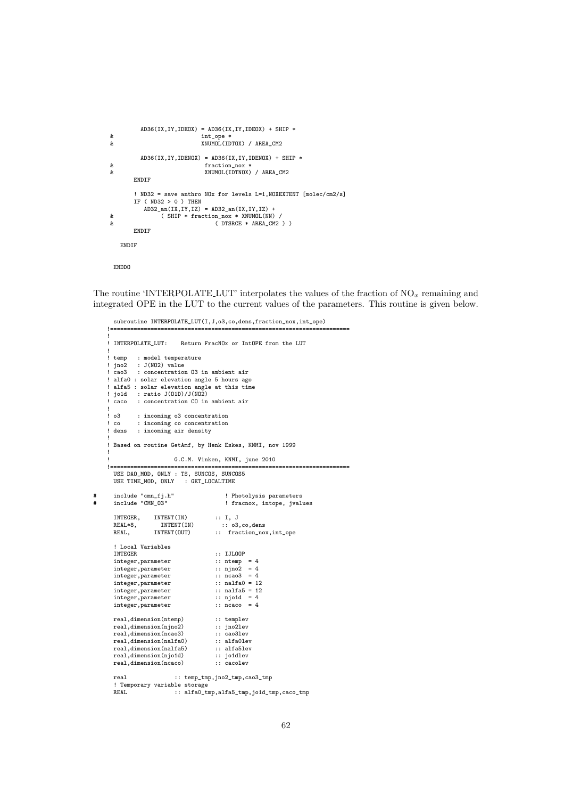```
AD36(IX,IY, IDEOX) = AD36(IX,IY, IDEOX) + SHIP *& int\_ope *<br>
& XNUMOL(ID
                            & XNUMOL(IDTOX) / AREA_CM2
         AD36(IX, IY, IDENOX) = AD36(IX, IY, IDENOX) + SHIP *& fraction_nox *<br>
& fraction_nox *<br>
XNUMOL(IDTNOX)
                            & XNUMOL(IDTNOX) / AREA_CM2
       ENDIF
       ! ND32 = save anthro NOx for levels L=1,NOXEXTENT [molec/cm2/s]
       IF ( ND32 > 0 ) THEN
AD32_an(IX,IY,IZ) = AD32_an(IX,IY,IZ) +
& ( SHIP * fraction_nox * XNUMOL(NN) /
& (DTSRCE * AREA_CM2 ) )
       ENDIF
   ENDIF
 ENDDO
```
The routine 'INTERPOLATE LUT' interpolates the values of the fraction of NO*<sup>x</sup>* remaining and integrated OPE in the LUT to the current values of the parameters. This routine is given below.

```
subroutine INTERPOLATE_LUT(I,J,o3,co,dens,fraction_nox,int_ope)
!=======================================================================
!
 ! INTERPOLATE_LUT: Return FracNOx or IntOPE from the LUT
!
 temp : model temperature<br>ino2 : J(NO2) value
  jno2 : J(NO2) value<br>cao3 : concentration
         : concentration 03 in ambient air
 alfa0 : solar elevation angle 5 hours ago
 alfa5 : solar elevation angle at this time<br>joid : ratio J(01D)/J(NO2)jo1d : ratio J(01D)/J(N02)<br>caco : concentration CO in
         : concentration CO in ambient air
!
 o3 : incoming o3 concentration
  co : incoming co concentration
 dens : incoming air density
!
  Based on routine GetAmf, by Henk Eskes, KNMI, nov 1999
!
                        G.C.M. Vinken, KNMI, june 2010
!=======================================================================
 USE DAO_MOD, ONLY : TS, SUNCOS, SUNCOS5
 USE TIME_MOD, ONLY : GET_LOCALTIME
  include "cmn_fj.h" <br>include "CMN_03" <br>fracnox, intope, jval!
                                            ! fracnox, intope, jvalues
  INTEGER, INTENT(IN) :: I, J<br>REAL*8, INTENT(IN) :: 03
  REAL*8, INTENT(IN) :: 03, co, dens<br>REAL, INTENT(OUT) :: fraction_no:
                                        :: fraction_nox,int_ope
  ! Local Variables
                                        :: IJLOOP<br>:: ntemp = 4<br>:: njno2 = 4
  integer, parameter
  integer, parameter : njno2 = 4<br>integer, parameter : ncao3 = 4
  integer, parameter :: ncao3 = 4<br>integer, parameter :: nalfa0 = 12
  integer, parameter :: nalfa0 = 12<br>integer, parameter :: nalfa5 = 12
  integer, parameter :: nalfa5 = 1<br>integer, parameter :: nio1d = 4
  integer, parameter : njo1d = 4<br>integer, parameter : ncaco = 4
  integer, parameter
  real,dimension(ntemp) :: templev<br>real,dimension(njno2) :: jno2lev
  real,dimension(njno2) :: jno2lev<br>real,dimension(ncao3) :: cao3lev
  real,dimension(ncao3) :: cao3lev<br>real,dimension(nalfa0) :: alfa0lev
  real,dimension(nalfa0) :: alfa0lev<br>real.dimension(nalfa5) :: alfa5lev
  real,dimension(nalfa5) :: alfa5le<br>real,dimension(njo1d) :: jo1dlev
  real,dimension(njo1d) :: jo1dlev<br>real.dimension(ncaco) :: cacolev
  real,dimension(ncaco)
  real :: temp_tmp,jno2_tmp,cao3_tmp
  ! Temporary variable storage<br>REAL :: alfa0_tr
                        :: alfa0_tmp,alfa5_tmp,jo1d_tmp,caco_tmp
```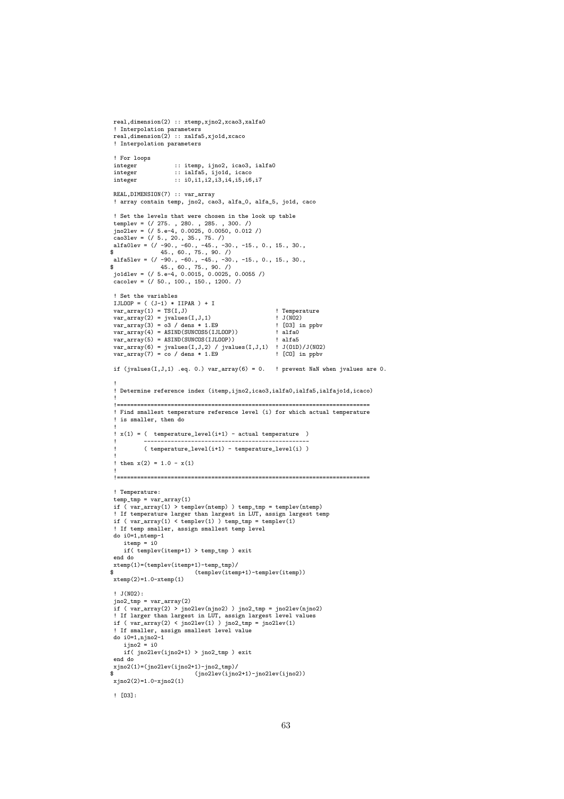```
real,dimension(2) :: xtemp,xjno2,xcao3,xalfa0
  ! Interpolation parameters
real,dimension(2) :: xalfa5,xjo1d,xcaco
 ! Interpolation parameters
 ! For loops
 : itemp, ijno2, icao3, ialfa0<br>integer :: ialfa5, ijo1d, icaco
 integer :: ialfa5, ijo1d, icaco<br>integer :: i0,i1,i2,i3,i4,i5,i6
                     \cdots integer :: i0,i1,i2,i3,i4,i5,i6,i7
  REAL,DIMENSION(7) :: var_array
! array contain temp, jno2, cao3, alfa_0, alfa_5, jo1d, caco
 ! Set the levels that were chosen in the look up table
templev = (/ 275., 280., 285., 300./)<br>
jno2lev = (/ 5.e-4, 0.0025, 0.0050, 0.012/)<br>
cao3lev = (/ 5., 20., 35., 75./)<br>
alfa0lev = (/ -90., -60., -45., -30., -15., 0., 15., 30.,<br>
$<br>
alfa5lev = (/ -90., -60., -45., -30., -15
 jo1dlev = (/ 5.e-4, 0.0015, 0.0025, 0.0055 /)
 cacolev = (/ 50., 100., 150., 1200. /)
 ! Set the variables
 IJLOOP = ( (J-1) * IIPAR ) + Ivar_array(1) = TS(I,J) ! Temperature
var_array(2) = jvalues(I,J,1) ! J(NO2)
var_array(3) = o3 / dens * 1.E9 ! [O3] in ppbv
  var_array(4) = ASIND(SUNCOS5(IJLOOP)) ! alfa0
var_array(5) = ASIND(SUNCOS(IJLOOP)) ! alfa5
  var_array(6) = jvalues(I,J,2) / jvalues(I,J,1) ! J(O1D)/J(NO2)
var_array(7) = co / dens * 1.E9 ! [CO] in ppbv
 if (jvalues(I,J,1) .eq. 0.) var_array(6) = 0. \blacksquare! prevent NaN when jvalues are 0.
  !
 ! Determine reference index (itemp,ijno2,icao3,ialfa0,ialfa5,ialfajo1d,icaco)
  !
  !===========================================================================
! Find smallest temperature reference level (i) for which actual temperature
  ! is smaller, then do
  !
! x(1) = ( temperature_level(i+1) - actual temperature )
  ! -------------------------------------------------
             ! ( temperature_level(i+1) - temperature_level(i) )
  !
   then x(2) = 1.0 - x(1)!
!===========================================================================
 ! Temperature:
  temp_tmp = var_array(1)
if ( var_array(1) > templev(ntemp) ) temp_tmp = templev(ntemp)
 ! If temperature larger than largest in LUT, assign largest temp
 if ( var_array(1) < templev(1) ) temp_tmp = templev(1)
  ! If temp smaller, assign smallest temp level
do i0=1,ntemp-1
     itemp = i0if( templev(itemp+1) > temp_tmp ) exit
 end do
xtemp(1)=(templev(itemp+1)-temp_tmp)/
                                 (templev(itemp+1)-templev(itemp)).<br>xtemp(2)=1.0-xtemp(1)
 ! J(NO2):
 jno2_tmp = var_array(2)if ( var_array(2) > jno2lev(njno2) ) jno2_tmp = jno2lev(njno2)
! If larger than largest in LUT, assign largest level values
 if ( var_{array(2) < jno2lev(1) ) jno2_tmp = jno2lev(1)
 ! If smaller, assign smallest level value
 do i0=1,njno2-1
     ijno2 = i0if( jno2lev(ijno2+1) > jno2_tmp ) exit
 end do
xjno2(1)=(jno2lev(ijno2+1)-jno2_tmp)/
$ (jno2lev(ijno2+1)-jno2lev(ijno2))
 xjno2(2)=1.0-xjno2(1)
 ! [O3]:
```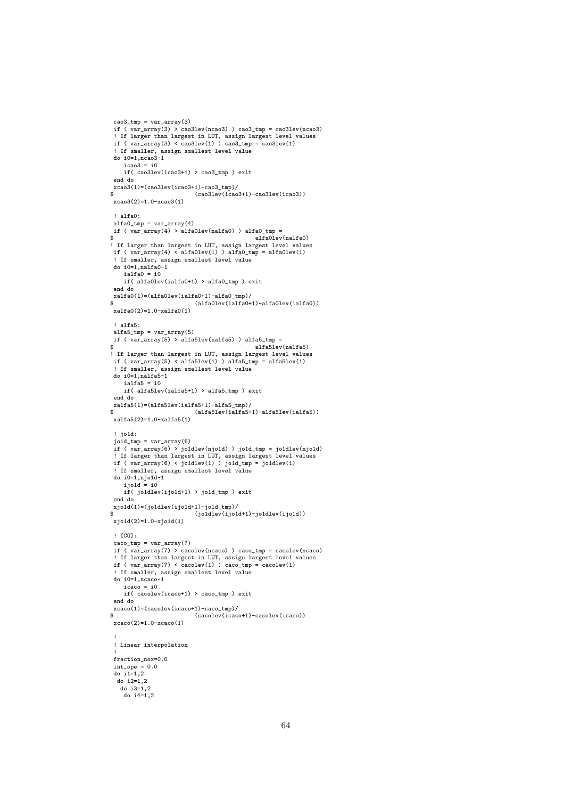```
cao3_{\text{tmp}} = var_{\text{array}}(3)if ( var_{array(3)} ) cao3lev(ncao3) ) cao3_tmp = cao3lev(ncao3)
 ! If larger than largest in LUT, assign largest level values
 if ( var_{array}(3) < co3lev(1) ) co3_{ump} = co3lev(1)! If smaller, assign smallest level value
do i0=1,ncao3-1
     icao3 = i0if( cao3lev(icao3+1) > cao3_tmp ) exit
 end do
xcao3(1)=(cao31ev(icao3+1)-cao3_tmp)/<br>$<br>(cao3lev(icao)
                                (cao3lev(icao3+1)-cao3lev(icao3))xcao3(2)=1.0-xcao3(1)
 ! alfa0:
 \text{aIfa0}_tmp = \text{var}_{\text{array}}(4)if ( var_{\text{array}}(4) > \text{aIfa0lev(nalfa0)} ) alfa0<sub>_</sub>tmp =<br>$
$ alfa0lev(nalfa0)
! If larger than largest in LUT, assign largest level values
 if ( var_{\text{array}}(4) < \text{alfa0lev}(1) ) \text{alfa0\_tmp} = \text{alfa0lev}(1)! If smaller, assign smallest level value
do i0=1,nalfa0-1
    ialfa0 = i0if( alfa0lev(ialfa0+1) > alfa0_tmp ) exit
 end do
xalfa0(1)=(alfa0lev(ialfa0+1)-alfa0_tmp)/
                                (atablev(ialfa0+1)-alta0lev(ialfa0))xalfa0(2)=1.0-xalfa0(1)
 ! alfa5:
 alfa5_tmp = var_array(5)
 if ( var_array(5) > alfa5lev(nalfa5) ) alfa5_tmp =
$ alfa5lev(nalfa5)
! If larger than largest in LUT, assign largest level values
if ( var_array(5) < alfa5lev(1) ) alfa5_tmp = alfa5lev(1)
  ! If smaller, assign smallest level value
do i0=1,nalfa5-1
    ialfa5 = i0
    if( alfa5lev(ialfa5+1) > alfa5_tmp ) exit
 end do<br>xalfa5(1)=(alfa5lev(ialfa5+1)-alfa5_tmp)/
xalfa5(1)=(alfa5lev(ialfa5+1)-alfa5_tmp)/
$ (alfa5lev(ialfa5+1)-alfa5lev(ialfa5))
xalfa5(2)=1.0-xalfa5(1)
 ! jo1d:
 jo1d_tmp = var_array(6)
  if ( var_array(6) > jo1dlev(njo1d) ) jo1d_tmp = jo1dlev(njo1d)
! If larger than largest in LUT, assign largest level values
if ( var_array(6) < jo1dlev(1) ) jo1d_tmp = jo1dlev(1)
  ! If smaller, assign smallest level value
do i0=1,njo1d-1
     ijo1\ddot{d} = i0
     if( jo1dlev(ijo1d+1) > jo1d_tmp ) exit
 end do
xjold(1)=(joldlev(ijold+1)-jold\_tmp)/$ (jo1dlev(ijo1d+1)-jo1dlev(ijo1d))
 xjo1d(2)=1.0-xjo1d(1)
 ! [CO]:
 caco_tmp = var_array(7)
 if ( var_array(7) > cacolev(ncaco) ) caco_tmp = cacolev(ncaco)
  ! If larger than largest in LUT, assign largest level values
if ( var_array(7) < cacolev(1) ) caco_tmp = cacolev(1)
 ! If smaller, assign smallest level value
 do i0=1, ncaco-1
     i<sub>c</sub> = i0if( cacolev(icaco+1) > caco_tmp ) exit
 end do
xcaco(1)=(cacolev(icaco+1)-caco_tmp)/<br>$ (cacolev(icaco
                                (cacolev(icaco+1)-cacolev(icaco))xcaco(2)=1.0-xcaco(1)
  !
! Linear interpolation
  !
 fraction_nox=0.0
  int_ope = 0.0
do i1=1,2
  do i2=1,2
   do 13=1.2do i4=1,2
```